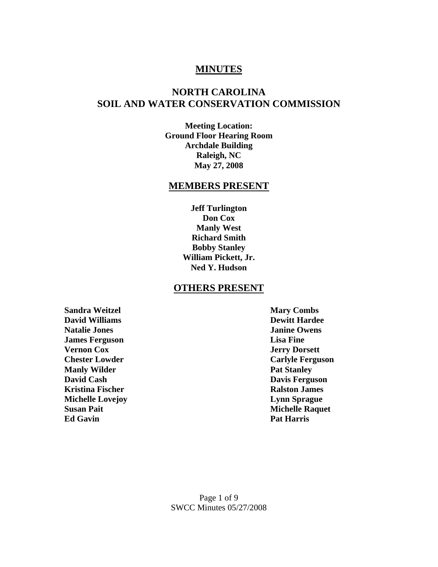### **MINUTES**

### **NORTH CAROLINA SOIL AND WATER CONSERVATION COMMISSION**

**Meeting Location: Ground Floor Hearing Room Archdale Building Raleigh, NC May 27, 2008** 

## **MEMBERS PRESENT**

**Jeff Turlington Don Cox Manly West Richard Smith Bobby Stanley William Pickett, Jr. Ned Y. Hudson** 

#### **OTHERS PRESENT**

**Sandra Weitzel Mary Combs David Williams Dewitt Hardee Natalie Jones Janine Owens James Ferguson Lisa Fine Vernon Cox Jerry Dorsett Chester Lowder Carlyle Ferguson Manly Wilder Pat Stanley Pat Stanley David Cash Davis Ferguson Kristina Fischer Ralston James Michelle Lovejoy Lynn Sprague Susan Pait** Michelle Raquet **Ed Gavin** Pat Harris **Pat Harris**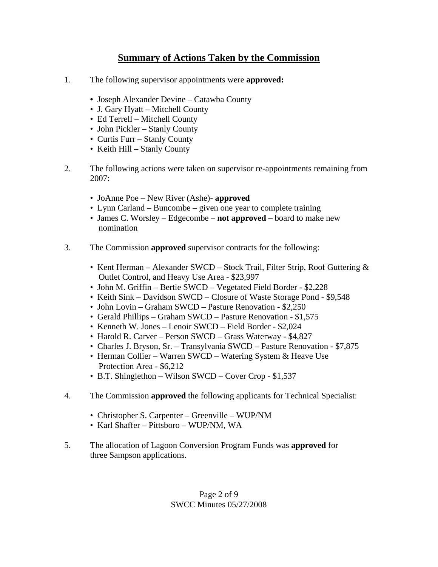## **Summary of Actions Taken by the Commission**

- 1. The following supervisor appointments were **approved:** 
	- Joseph Alexander Devine Catawba County
	- J. Gary Hyatt Mitchell County
	- Ed Terrell Mitchell County
	- John Pickler Stanly County
	- Curtis Furr Stanly County
	- Keith Hill Stanly County
- 2. The following actions were taken on supervisor re-appointments remaining from 2007:
	- JoAnne Poe New River (Ashe)- **approved**
	- Lynn Carland Buncombe given one year to complete training
	- James C. Worsley Edgecombe **not approved** board to make new nomination
- 3. The Commission **approved** supervisor contracts for the following:
	- Kent Herman Alexander SWCD Stock Trail, Filter Strip, Roof Guttering & Outlet Control, and Heavy Use Area - \$23,997
	- John M. Griffin Bertie SWCD Vegetated Field Border \$2,228
	- Keith Sink Davidson SWCD Closure of Waste Storage Pond \$9,548
	- John Lovin Graham SWCD Pasture Renovation \$2,250
	- Gerald Phillips Graham SWCD Pasture Renovation \$1,575
	- Kenneth W. Jones Lenoir SWCD Field Border \$2,024
	- Harold R. Carver Person SWCD Grass Waterway \$4,827
	- Charles J. Bryson, Sr. Transylvania SWCD Pasture Renovation \$7,875
	- Herman Collier Warren SWCD Watering System & Heave Use Protection Area - \$6,212
	- B.T. Shinglethon Wilson SWCD Cover Crop \$1,537
- 4. The Commission **approved** the following applicants for Technical Specialist:
	- Christopher S. Carpenter Greenville WUP/NM
	- Karl Shaffer Pittsboro WUP/NM, WA
- 5. The allocation of Lagoon Conversion Program Funds was **approved** for three Sampson applications.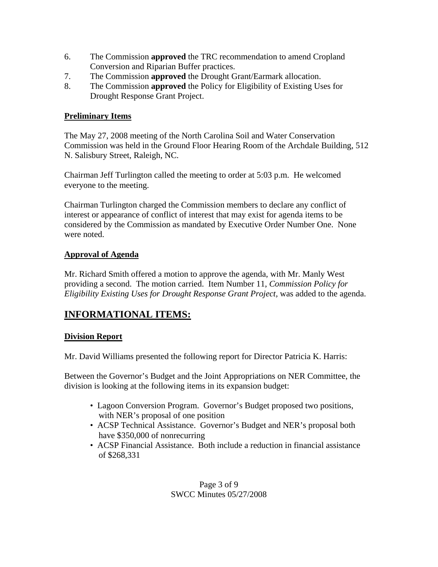- 6. The Commission **approved** the TRC recommendation to amend Cropland Conversion and Riparian Buffer practices.
- 7. The Commission **approved** the Drought Grant/Earmark allocation.
- 8. The Commission **approved** the Policy for Eligibility of Existing Uses for Drought Response Grant Project.

#### **Preliminary Items**

The May 27, 2008 meeting of the North Carolina Soil and Water Conservation Commission was held in the Ground Floor Hearing Room of the Archdale Building, 512 N. Salisbury Street, Raleigh, NC.

Chairman Jeff Turlington called the meeting to order at 5:03 p.m. He welcomed everyone to the meeting.

Chairman Turlington charged the Commission members to declare any conflict of interest or appearance of conflict of interest that may exist for agenda items to be considered by the Commission as mandated by Executive Order Number One. None were noted.

#### **Approval of Agenda**

Mr. Richard Smith offered a motion to approve the agenda, with Mr. Manly West providing a second. The motion carried. Item Number 11, *Commission Policy for Eligibility Existing Uses for Drought Response Grant Project, was added to the agenda.* 

## **INFORMATIONAL ITEMS:**

#### **Division Report**

Mr. David Williams presented the following report for Director Patricia K. Harris:

Between the Governor's Budget and the Joint Appropriations on NER Committee, the division is looking at the following items in its expansion budget:

- Lagoon Conversion Program. Governor's Budget proposed two positions, with NER's proposal of one position
- ACSP Technical Assistance. Governor's Budget and NER's proposal both have \$350,000 of nonrecurring
- ACSP Financial Assistance. Both include a reduction in financial assistance of \$268,331

Page 3 of 9 SWCC Minutes 05/27/2008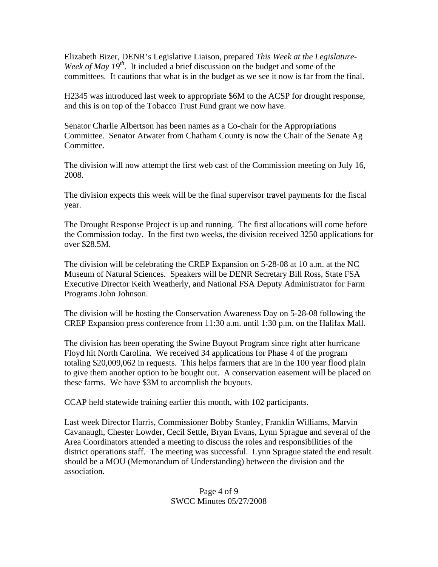Elizabeth Bizer, DENR's Legislative Liaison, prepared *This Week at the Legislature-Week of May 19th*. It included a brief discussion on the budget and some of the committees. It cautions that what is in the budget as we see it now is far from the final.

H2345 was introduced last week to appropriate \$6M to the ACSP for drought response, and this is on top of the Tobacco Trust Fund grant we now have.

Senator Charlie Albertson has been names as a Co-chair for the Appropriations Committee. Senator Atwater from Chatham County is now the Chair of the Senate Ag Committee.

The division will now attempt the first web cast of the Commission meeting on July 16, 2008.

The division expects this week will be the final supervisor travel payments for the fiscal year.

The Drought Response Project is up and running. The first allocations will come before the Commission today. In the first two weeks, the division received 3250 applications for over \$28.5M.

The division will be celebrating the CREP Expansion on 5-28-08 at 10 a.m. at the NC Museum of Natural Sciences. Speakers will be DENR Secretary Bill Ross, State FSA Executive Director Keith Weatherly, and National FSA Deputy Administrator for Farm Programs John Johnson.

The division will be hosting the Conservation Awareness Day on 5-28-08 following the CREP Expansion press conference from 11:30 a.m. until 1:30 p.m. on the Halifax Mall.

The division has been operating the Swine Buyout Program since right after hurricane Floyd hit North Carolina. We received 34 applications for Phase 4 of the program totaling \$20,009,062 in requests. This helps farmers that are in the 100 year flood plain to give them another option to be bought out. A conservation easement will be placed on these farms. We have \$3M to accomplish the buyouts.

CCAP held statewide training earlier this month, with 102 participants.

Last week Director Harris, Commissioner Bobby Stanley, Franklin Williams, Marvin Cavanaugh, Chester Lowder, Cecil Settle, Bryan Evans, Lynn Sprague and several of the Area Coordinators attended a meeting to discuss the roles and responsibilities of the district operations staff. The meeting was successful. Lynn Sprague stated the end result should be a MOU (Memorandum of Understanding) between the division and the association.

#### Page 4 of 9 SWCC Minutes 05/27/2008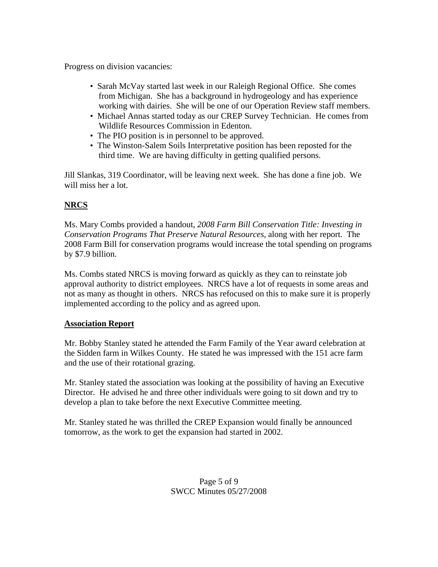Progress on division vacancies:

- Sarah McVay started last week in our Raleigh Regional Office. She comes from Michigan. She has a background in hydrogeology and has experience working with dairies. She will be one of our Operation Review staff members.
- Michael Annas started today as our CREP Survey Technician. He comes from Wildlife Resources Commission in Edenton.
- The PIO position is in personnel to be approved.
- The Winston-Salem Soils Interpretative position has been reposted for the third time. We are having difficulty in getting qualified persons.

Jill Slankas, 319 Coordinator, will be leaving next week. She has done a fine job. We will miss her a lot.

### **NRCS**

Ms. Mary Combs provided a handout, *2008 Farm Bill Conservation Title: Investing in Conservation Programs That Preserve Natural Resources,* along with her report. The 2008 Farm Bill for conservation programs would increase the total spending on programs by \$7.9 billion.

Ms. Combs stated NRCS is moving forward as quickly as they can to reinstate job approval authority to district employees. NRCS have a lot of requests in some areas and not as many as thought in others. NRCS has refocused on this to make sure it is properly implemented according to the policy and as agreed upon.

#### **Association Report**

Mr. Bobby Stanley stated he attended the Farm Family of the Year award celebration at the Sidden farm in Wilkes County. He stated he was impressed with the 151 acre farm and the use of their rotational grazing.

Mr. Stanley stated the association was looking at the possibility of having an Executive Director. He advised he and three other individuals were going to sit down and try to develop a plan to take before the next Executive Committee meeting.

Mr. Stanley stated he was thrilled the CREP Expansion would finally be announced tomorrow, as the work to get the expansion had started in 2002.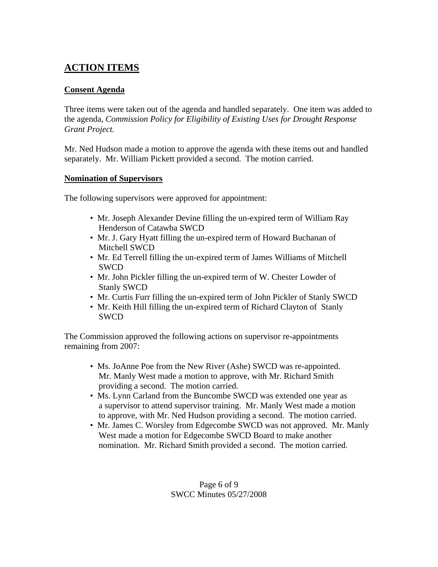# **ACTION ITEMS**

#### **Consent Agenda**

Three items were taken out of the agenda and handled separately. One item was added to the agenda, *Commission Policy for Eligibility of Existing Uses for Drought Response Grant Project.* 

Mr. Ned Hudson made a motion to approve the agenda with these items out and handled separately. Mr. William Pickett provided a second. The motion carried.

#### **Nomination of Supervisors**

The following supervisors were approved for appointment:

- Mr. Joseph Alexander Devine filling the un-expired term of William Ray Henderson of Catawba SWCD
- Mr. J. Gary Hyatt filling the un-expired term of Howard Buchanan of Mitchell SWCD
- Mr. Ed Terrell filling the un-expired term of James Williams of Mitchell SWCD
- Mr. John Pickler filling the un-expired term of W. Chester Lowder of Stanly SWCD
- Mr. Curtis Furr filling the un-expired term of John Pickler of Stanly SWCD
- Mr. Keith Hill filling the un-expired term of Richard Clayton of Stanly SWCD

The Commission approved the following actions on supervisor re-appointments remaining from 2007:

- Ms. JoAnne Poe from the New River (Ashe) SWCD was re-appointed. Mr. Manly West made a motion to approve, with Mr. Richard Smith providing a second. The motion carried.
- Ms. Lynn Carland from the Buncombe SWCD was extended one year as a supervisor to attend supervisor training. Mr. Manly West made a motion to approve, with Mr. Ned Hudson providing a second. The motion carried.
- Mr. James C. Worsley from Edgecombe SWCD was not approved. Mr. Manly West made a motion for Edgecombe SWCD Board to make another nomination. Mr. Richard Smith provided a second. The motion carried.

Page 6 of 9 SWCC Minutes 05/27/2008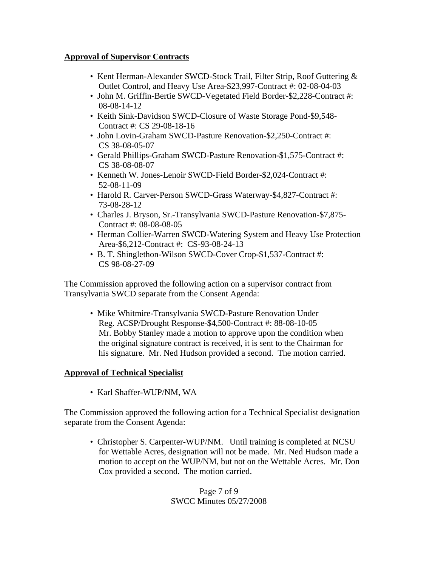#### **Approval of Supervisor Contracts**

- Kent Herman-Alexander SWCD-Stock Trail, Filter Strip, Roof Guttering & Outlet Control, and Heavy Use Area-\$23,997-Contract #: 02-08-04-03
- John M. Griffin-Bertie SWCD-Vegetated Field Border-\$2,228-Contract #: 08-08-14-12
- Keith Sink-Davidson SWCD-Closure of Waste Storage Pond-\$9,548- Contract #: CS 29-08-18-16
- John Lovin-Graham SWCD-Pasture Renovation-\$2,250-Contract #: CS 38-08-05-07
- Gerald Phillips-Graham SWCD-Pasture Renovation-\$1,575-Contract #: CS 38-08-08-07
- Kenneth W. Jones-Lenoir SWCD-Field Border-\$2,024-Contract #: 52-08-11-09
- Harold R. Carver-Person SWCD-Grass Waterway-\$4,827-Contract #: 73-08-28-12
- Charles J. Bryson, Sr.-Transylvania SWCD-Pasture Renovation-\$7,875- Contract #: 08-08-08-05
- Herman Collier-Warren SWCD-Watering System and Heavy Use Protection Area-\$6,212-Contract #: CS-93-08-24-13
- B. T. Shinglethon-Wilson SWCD-Cover Crop-\$1,537-Contract #: CS 98-08-27-09

The Commission approved the following action on a supervisor contract from Transylvania SWCD separate from the Consent Agenda:

 • Mike Whitmire-Transylvania SWCD-Pasture Renovation Under Reg. ACSP/Drought Response-\$4,500-Contract #: 88-08-10-05 Mr. Bobby Stanley made a motion to approve upon the condition when the original signature contract is received, it is sent to the Chairman for his signature. Mr. Ned Hudson provided a second. The motion carried.

#### **Approval of Technical Specialist**

• Karl Shaffer-WUP/NM, WA

The Commission approved the following action for a Technical Specialist designation separate from the Consent Agenda:

 • Christopher S. Carpenter-WUP/NM. Until training is completed at NCSU for Wettable Acres, designation will not be made. Mr. Ned Hudson made a motion to accept on the WUP/NM, but not on the Wettable Acres. Mr. Don Cox provided a second. The motion carried.

#### Page 7 of 9 SWCC Minutes 05/27/2008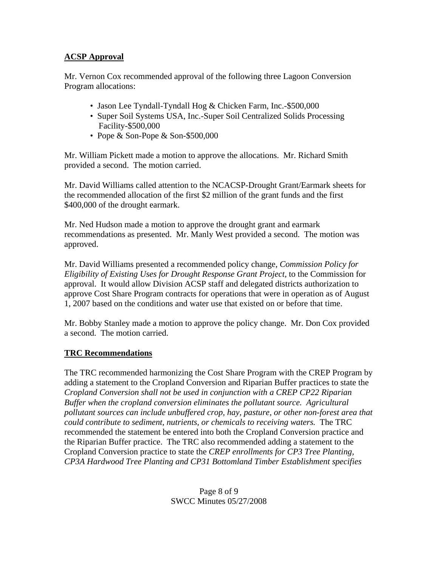#### **ACSP Approval**

Mr. Vernon Cox recommended approval of the following three Lagoon Conversion Program allocations:

- Jason Lee Tyndall-Tyndall Hog & Chicken Farm, Inc.-\$500,000
- Super Soil Systems USA, Inc.-Super Soil Centralized Solids Processing Facility-\$500,000
- Pope & Son-Pope & Son-\$500,000

Mr. William Pickett made a motion to approve the allocations. Mr. Richard Smith provided a second. The motion carried.

Mr. David Williams called attention to the NCACSP-Drought Grant/Earmark sheets for the recommended allocation of the first \$2 million of the grant funds and the first \$400,000 of the drought earmark.

Mr. Ned Hudson made a motion to approve the drought grant and earmark recommendations as presented. Mr. Manly West provided a second. The motion was approved.

Mr. David Williams presented a recommended policy change, *Commission Policy for Eligibility of Existing Uses for Drought Response Grant Project,* to the Commission for approval. It would allow Division ACSP staff and delegated districts authorization to approve Cost Share Program contracts for operations that were in operation as of August 1, 2007 based on the conditions and water use that existed on or before that time.

Mr. Bobby Stanley made a motion to approve the policy change. Mr. Don Cox provided a second. The motion carried.

#### **TRC Recommendations**

The TRC recommended harmonizing the Cost Share Program with the CREP Program by adding a statement to the Cropland Conversion and Riparian Buffer practices to state the *Cropland Conversion shall not be used in conjunction with a CREP CP22 Riparian Buffer when the cropland conversion eliminates the pollutant source. Agricultural pollutant sources can include unbuffered crop, hay, pasture, or other non-forest area that could contribute to sediment, nutrients, or chemicals to receiving waters.* The TRC recommended the statement be entered into both the Cropland Conversion practice and the Riparian Buffer practice. The TRC also recommended adding a statement to the Cropland Conversion practice to state the *CREP enrollments for CP3 Tree Planting, CP3A Hardwood Tree Planting and CP31 Bottomland Timber Establishment specifies*